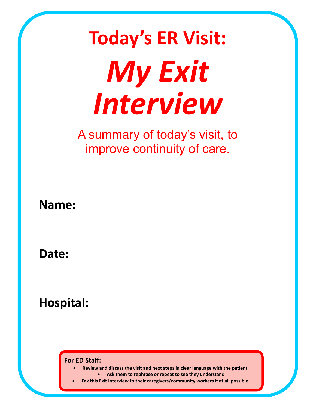| <b>Today's ER Visit:</b>                                                                                                                                                                                                                       |
|------------------------------------------------------------------------------------------------------------------------------------------------------------------------------------------------------------------------------------------------|
| <b>My Exit</b>                                                                                                                                                                                                                                 |
| Interview                                                                                                                                                                                                                                      |
| A summary of today's visit, to<br>improve continuity of care.                                                                                                                                                                                  |
| Name:                                                                                                                                                                                                                                          |
| <b>Date:</b>                                                                                                                                                                                                                                   |
| <b>Hospital:</b>                                                                                                                                                                                                                               |
| For ED Staff:<br>Review and discuss the visit and next steps in clear language with the patient.<br>Ask them to rephrase or repeat to see they understand<br>Fax this Exit Interview to their caregivers/community workers if at all possible. |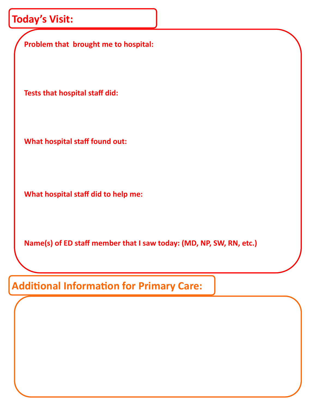## **Today's Visit:**

**Problem that brought me to hospital: Tests that hospital staff did: What hospital staff found out: What hospital staff did to help me:**

**Name(s) of ED staff member that I saw today: (MD, NP, SW, RN, etc.)**

**Additional Information for Primary Care:**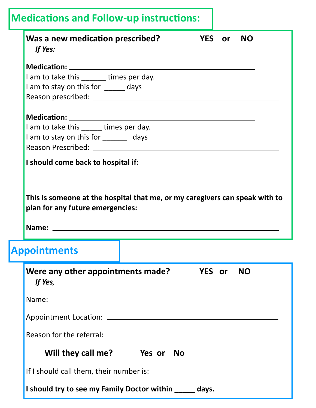| Was a new medication prescribed?<br>If Yes:                                                                                                                                                     |  |               | YES or NO |
|-------------------------------------------------------------------------------------------------------------------------------------------------------------------------------------------------|--|---------------|-----------|
|                                                                                                                                                                                                 |  |               |           |
| I am to take this ______ times per day.                                                                                                                                                         |  |               |           |
| I am to stay on this for ______ days                                                                                                                                                            |  |               |           |
|                                                                                                                                                                                                 |  |               |           |
|                                                                                                                                                                                                 |  |               |           |
| I am to take this _____ times per day.                                                                                                                                                          |  |               |           |
| I am to stay on this for _______ days                                                                                                                                                           |  |               |           |
|                                                                                                                                                                                                 |  |               |           |
|                                                                                                                                                                                                 |  |               |           |
|                                                                                                                                                                                                 |  |               |           |
|                                                                                                                                                                                                 |  |               |           |
| This is someone at the hospital that me, or my caregivers can speak with to<br>plan for any future emergencies:<br>Name:<br><b>Appointments</b><br>Were any other appointments made?<br>If Yes, |  | <b>YES</b> or | <b>NO</b> |
|                                                                                                                                                                                                 |  |               |           |
|                                                                                                                                                                                                 |  |               |           |
|                                                                                                                                                                                                 |  |               |           |
| Will they call me? Yes or No                                                                                                                                                                    |  |               |           |
|                                                                                                                                                                                                 |  |               |           |